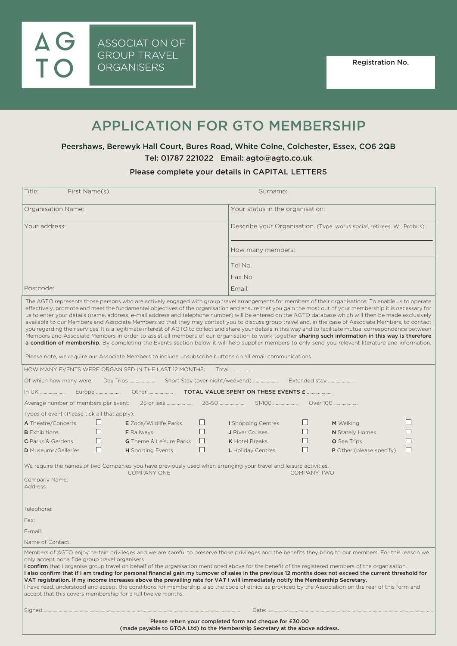AG<br>TO

# APPLICATION FOR GTO MEMBERSHIP

# Peershaws, Berewyk Hall Court, Bures Road, White Colne, Colchester, Essex, CO6 2QB Tel: 01787 221022 Email: agto@agto.co.uk

## Please complete your details in CAPITAL LETTERS

| First Name(s)<br>Title:                                                                                                                                                                                                                                                                                                                                                                                                                                                                                                                                                                                                                                                                                                                                                                                                                                                                                                                                                                                                                                                                                                                                                                                                               |   |                                |   | Surname:                                                                |              |                                 |        |  |
|---------------------------------------------------------------------------------------------------------------------------------------------------------------------------------------------------------------------------------------------------------------------------------------------------------------------------------------------------------------------------------------------------------------------------------------------------------------------------------------------------------------------------------------------------------------------------------------------------------------------------------------------------------------------------------------------------------------------------------------------------------------------------------------------------------------------------------------------------------------------------------------------------------------------------------------------------------------------------------------------------------------------------------------------------------------------------------------------------------------------------------------------------------------------------------------------------------------------------------------|---|--------------------------------|---|-------------------------------------------------------------------------|--------------|---------------------------------|--------|--|
| Organisation Name:                                                                                                                                                                                                                                                                                                                                                                                                                                                                                                                                                                                                                                                                                                                                                                                                                                                                                                                                                                                                                                                                                                                                                                                                                    |   |                                |   | Your status in the organisation:                                        |              |                                 |        |  |
| Your address:                                                                                                                                                                                                                                                                                                                                                                                                                                                                                                                                                                                                                                                                                                                                                                                                                                                                                                                                                                                                                                                                                                                                                                                                                         |   |                                |   | Describe your Organisation. (Type, works social, retirees, WI, Probus): |              |                                 |        |  |
|                                                                                                                                                                                                                                                                                                                                                                                                                                                                                                                                                                                                                                                                                                                                                                                                                                                                                                                                                                                                                                                                                                                                                                                                                                       |   |                                |   | How many members:                                                       |              |                                 |        |  |
|                                                                                                                                                                                                                                                                                                                                                                                                                                                                                                                                                                                                                                                                                                                                                                                                                                                                                                                                                                                                                                                                                                                                                                                                                                       |   |                                |   | Tel No.                                                                 |              |                                 |        |  |
|                                                                                                                                                                                                                                                                                                                                                                                                                                                                                                                                                                                                                                                                                                                                                                                                                                                                                                                                                                                                                                                                                                                                                                                                                                       |   |                                |   | Fax No.                                                                 |              |                                 |        |  |
| Postcode:                                                                                                                                                                                                                                                                                                                                                                                                                                                                                                                                                                                                                                                                                                                                                                                                                                                                                                                                                                                                                                                                                                                                                                                                                             |   |                                |   | Email:                                                                  |              |                                 |        |  |
| The AGTO represents those persons who are actively engaged with group travel arrangements for members of their organisations. To enable us to operate<br>effectively, promote and meet the fundamental objectives of the organisation and ensure that you gain the most out of your membership it is necessary for<br>us to enter your details (name, address, e-mail address and telephone number) will be entered on the AGTO database which will then be made exclusively<br>available to our Members and Associate Members so that they may contact you to discuss group travel and, in the case of Associate Members, to contact<br>you regarding their services. It is a legitimate interest of AGTO to collect and share your details in this way and to facilitate mutual correspondence between<br>Members and Associate Members in order to assist all members of our organisation to work together sharing such information in this way is therefore<br>a condition of membership. By completing the Events section below it will help supplier members to only send you relevant literature and information.<br>Please note, we require our Associate Members to include unsubscribe buttons on all email communications. |   |                                |   |                                                                         |              |                                 |        |  |
| HOW MANY EVENTS WERE ORGANISED IN THE LAST 12 MONTHS:<br>Total                                                                                                                                                                                                                                                                                                                                                                                                                                                                                                                                                                                                                                                                                                                                                                                                                                                                                                                                                                                                                                                                                                                                                                        |   |                                |   |                                                                         |              |                                 |        |  |
| Of which how many were:                                                                                                                                                                                                                                                                                                                                                                                                                                                                                                                                                                                                                                                                                                                                                                                                                                                                                                                                                                                                                                                                                                                                                                                                               |   |                                |   |                                                                         |              |                                 |        |  |
| TOTAL VALUE SPENT ON THESE EVENTS £<br>In UK<br>Europe<br>Other                                                                                                                                                                                                                                                                                                                                                                                                                                                                                                                                                                                                                                                                                                                                                                                                                                                                                                                                                                                                                                                                                                                                                                       |   |                                |   |                                                                         |              |                                 |        |  |
| Average number of members per event:<br>25 or less<br>51-100<br>Over 100                                                                                                                                                                                                                                                                                                                                                                                                                                                                                                                                                                                                                                                                                                                                                                                                                                                                                                                                                                                                                                                                                                                                                              |   |                                |   |                                                                         |              |                                 |        |  |
| Types of event (Please tick all that apply):                                                                                                                                                                                                                                                                                                                                                                                                                                                                                                                                                                                                                                                                                                                                                                                                                                                                                                                                                                                                                                                                                                                                                                                          |   |                                |   |                                                                         |              |                                 |        |  |
| A Theatre/Concerts                                                                                                                                                                                                                                                                                                                                                                                                                                                                                                                                                                                                                                                                                                                                                                                                                                                                                                                                                                                                                                                                                                                                                                                                                    |   | <b>E</b> Zoos/Wildlife Parks   | ப | I Shopping Centres                                                      | ப            | M Walking                       |        |  |
| <b>B</b> Exhibitions                                                                                                                                                                                                                                                                                                                                                                                                                                                                                                                                                                                                                                                                                                                                                                                                                                                                                                                                                                                                                                                                                                                                                                                                                  |   | <b>F</b> Railways              |   | J River Cruises                                                         | ⊔            | N Stately Homes                 |        |  |
| <b>C</b> Parks & Gardens                                                                                                                                                                                                                                                                                                                                                                                                                                                                                                                                                                                                                                                                                                                                                                                                                                                                                                                                                                                                                                                                                                                                                                                                              |   | <b>G</b> Theme & Leisure Parks | Ш | <b>K</b> Hotel Breaks                                                   | $\mathsf{L}$ | <b>O</b> Sea Trips              |        |  |
| <b>D</b> Museums/Galleries                                                                                                                                                                                                                                                                                                                                                                                                                                                                                                                                                                                                                                                                                                                                                                                                                                                                                                                                                                                                                                                                                                                                                                                                            | L | <b>H</b> Sporting Events       | H | L Holiday Centres                                                       | $\Box$       | <b>P</b> Other (please specify) | $\Box$ |  |
| We require the names of two Companies you have previously used when arranging your travel and leisure activities.<br><b>COMPANY ONE</b><br><b>COMPANY TWO</b><br>Company Name:<br>Address:                                                                                                                                                                                                                                                                                                                                                                                                                                                                                                                                                                                                                                                                                                                                                                                                                                                                                                                                                                                                                                            |   |                                |   |                                                                         |              |                                 |        |  |
| Telephone:                                                                                                                                                                                                                                                                                                                                                                                                                                                                                                                                                                                                                                                                                                                                                                                                                                                                                                                                                                                                                                                                                                                                                                                                                            |   |                                |   |                                                                         |              |                                 |        |  |
| Fax:                                                                                                                                                                                                                                                                                                                                                                                                                                                                                                                                                                                                                                                                                                                                                                                                                                                                                                                                                                                                                                                                                                                                                                                                                                  |   |                                |   |                                                                         |              |                                 |        |  |
| E-mail:                                                                                                                                                                                                                                                                                                                                                                                                                                                                                                                                                                                                                                                                                                                                                                                                                                                                                                                                                                                                                                                                                                                                                                                                                               |   |                                |   |                                                                         |              |                                 |        |  |
| Name of Contact:                                                                                                                                                                                                                                                                                                                                                                                                                                                                                                                                                                                                                                                                                                                                                                                                                                                                                                                                                                                                                                                                                                                                                                                                                      |   |                                |   |                                                                         |              |                                 |        |  |
| Members of AGTO enjoy certain privileges and we are careful to preserve those privileges and the benefits they bring to our members. For this reason we<br>only accept bona fide group travel organisers.<br><b>I confirm</b> that I organise group travel on behalf of the organisation mentioned above for the benefit of the registered members of the organisation.<br>I also confirm that if I am trading for personal financial gain my turnover of sales in the previous 12 months does not exceed the current threshold for<br>VAT registration. If my income increases above the prevailing rate for VAT I will immediately notify the Membership Secretary.<br>I have read, understood and accept the conditions for membership, also the code of ethics as provided by the Association on the rear of this form and<br>accept that this covers membership for a full twelve months.                                                                                                                                                                                                                                                                                                                                        |   |                                |   |                                                                         |              |                                 |        |  |
|                                                                                                                                                                                                                                                                                                                                                                                                                                                                                                                                                                                                                                                                                                                                                                                                                                                                                                                                                                                                                                                                                                                                                                                                                                       |   |                                |   |                                                                         |              |                                 |        |  |
| Please return your completed form and cheque for £30.00<br>(made payable to GTOA Ltd) to the Membership Secretary at the above address.                                                                                                                                                                                                                                                                                                                                                                                                                                                                                                                                                                                                                                                                                                                                                                                                                                                                                                                                                                                                                                                                                               |   |                                |   |                                                                         |              |                                 |        |  |